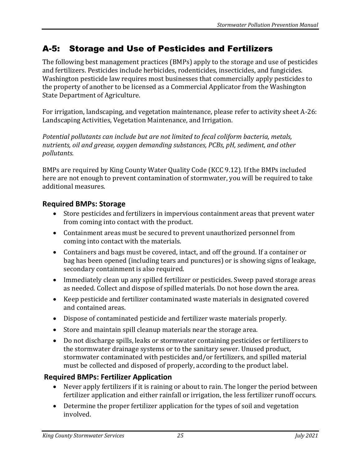# A-5: Storage and Use of Pesticides and Fertilizers

The following best management practices (BMPs) apply to the storage and use of pesticides and fertilizers. Pesticides include herbicides, rodenticides, insecticides, and fungicides. Washington pesticide law requires most businesses that commercially apply pesticides to the property of another to be licensed as a Commercial Applicator from the Washington State Department of Agriculture.

For irrigation, landscaping, and vegetation maintenance, please refer to activity sheet A-26: Landscaping Activities, Vegetation Maintenance, and Irrigation.

*Potential pollutants can include but are not limited to fecal coliform bacteria, metals, nutrients, oil and grease, oxygen demanding substances, PCBs, pH, sediment, and other pollutants.*

BMPs are required by King County Water Quality Code (KCC 9.12). If the BMPs included here are not enough to prevent contamination of stormwater, you will be required to take additional measures.

## **Required BMPs: Storage**

- Store pesticides and fertilizers in impervious containment areas that prevent water from coming into contact with the product.
- Containment areas must be secured to prevent unauthorized personnel from coming into contact with the materials.
- Containers and bags must be covered, intact, and off the ground. If a container or bag has been opened (including tears and punctures) or is showing signs of leakage, secondary containment is also required.
- Immediately clean up any spilled fertilizer or pesticides. Sweep paved storage areas as needed. Collect and dispose of spilled materials. Do not hose down the area.
- Keep pesticide and fertilizer contaminated waste materials in designated covered and contained areas.
- Dispose of contaminated pesticide and fertilizer waste materials properly.
- Store and maintain spill cleanup materials near the storage area.
- Do not discharge spills, leaks or stormwater containing pesticides or fertilizers to the stormwater drainage systems or to the sanitary sewer. Unused product, stormwater contaminated with pesticides and/or fertilizers, and spilled material must be collected and disposed of properly, according to the product label.

# **Required BMPs: Fertilizer Application**

- Never apply fertilizers if it is raining or about to rain. The longer the period between fertilizer application and either rainfall or irrigation, the less fertilizer runoff occurs.
- Determine the proper fertilizer application for the types of soil and vegetation involved.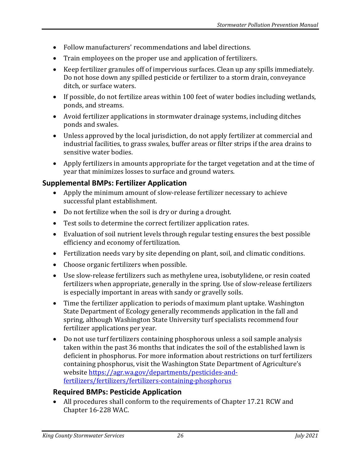- Follow manufacturers' recommendations and label directions.
- Train employees on the proper use and application of fertilizers.
- Keep fertilizer granules off of impervious surfaces. Clean up any spills immediately. Do not hose down any spilled pesticide or fertilizer to a storm drain, conveyance ditch, or surface waters.
- If possible, do not fertilize areas within 100 feet of water bodies including wetlands, ponds, and streams.
- Avoid fertilizer applications in stormwater drainage systems, including ditches ponds and swales.
- Unless approved by the local jurisdiction, do not apply fertilizer at commercial and industrial facilities, to grass swales, buffer areas or filter strips if the area drains to sensitive water bodies.
- Apply fertilizers in amounts appropriate for the target vegetation and at the time of year that minimizes losses to surface and ground waters.

#### **Supplemental BMPs: Fertilizer Application**

- Apply the minimum amount of slow-release fertilizer necessary to achieve successful plant establishment.
- Do not fertilize when the soil is dry or during a drought.
- Test soils to determine the correct fertilizer application rates.
- Evaluation of soil nutrient levels through regular testing ensures the best possible efficiency and economy of fertilization.
- Fertilization needs vary by site depending on plant, soil, and climatic conditions.
- Choose organic fertilizers when possible.
- Use slow-release fertilizers such as methylene urea, isobutylidene, or resin coated fertilizers when appropriate, generally in the spring. Use of slow-release fertilizers is especially important in areas with sandy or gravelly soils.
- Time the fertilizer application to periods of maximum plant uptake. Washington State Department of Ecology generally recommends application in the fall and spring, although Washington State University turf specialists recommend four fertilizer applications per year.
- Do not use turf fertilizers containing phosphorous unless a soil sample analysis taken within the past 36 months that indicates the soil of the established lawn is deficient in phosphorus. For more information about restrictions on turf fertilizers containing phosphorus, visit the Washington State Department of Agriculture's website [https://agr.wa.gov/departments/pesticides-and](https://agr.wa.gov/departments/pesticides-and-fertilizers/fertilizers/fertilizers-containing-phosphorus)[fertilizers/fertilizers/fertilizers-containing-phosphorus](https://agr.wa.gov/departments/pesticides-and-fertilizers/fertilizers/fertilizers-containing-phosphorus)

#### **Required BMPs: Pesticide Application**

• All procedures shall conform to the requirements of Chapter 17.21 RCW and Chapter 16-228 WAC.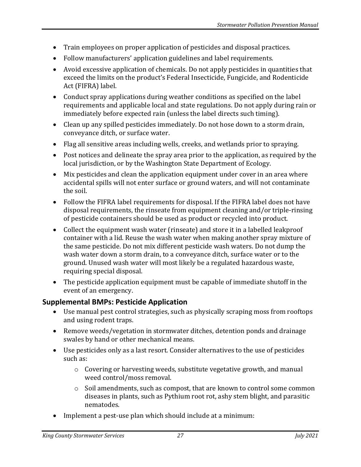- Train employees on proper application of pesticides and disposal practices.
- Follow manufacturers' application guidelines and label requirements.
- Avoid excessive application of chemicals. Do not apply pesticides in quantities that exceed the limits on the product's Federal Insecticide, Fungicide, and Rodenticide Act (FIFRA) label.
- Conduct spray applications during weather conditions as specified on the label requirements and applicable local and state regulations. Do not apply during rain or immediately before expected rain (unless the label directs such timing).
- Clean up any spilled pesticides immediately. Do not hose down to a storm drain, conveyance ditch, or surface water.
- Flag all sensitive areas including wells, creeks, and wetlands prior to spraying.
- Post notices and delineate the spray area prior to the application, as required by the local jurisdiction, or by the Washington State Department of Ecology.
- Mix pesticides and clean the application equipment under cover in an area where accidental spills will not enter surface or ground waters, and will not contaminate the soil.
- Follow the FIFRA label requirements for disposal. If the FIFRA label does not have disposal requirements, the rinseate from equipment cleaning and/or triple-rinsing of pesticide containers should be used as product or recycled into product.
- Collect the equipment wash water (rinseate) and store it in a labelled leakproof container with a lid. Reuse the wash water when making another spray mixture of the same pesticide. Do not mix different pesticide wash waters. Do not dump the wash water down a storm drain, to a conveyance ditch, surface water or to the ground. Unused wash water will most likely be a regulated hazardous waste, requiring special disposal.
- The pesticide application equipment must be capable of immediate shutoff in the event of an emergency.

# **Supplemental BMPs: Pesticide Application**

- Use manual pest control strategies, such as physically scraping moss from rooftops and using rodent traps.
- Remove weeds/vegetation in stormwater ditches, detention ponds and drainage swales by hand or other mechanical means.
- Use pesticides only as a last resort. Consider alternatives to the use of pesticides such as:
	- o Covering or harvesting weeds, substitute vegetative growth, and manual weed control/moss removal.
	- o Soil amendments, such as compost, that are known to control some common diseases in plants, such as Pythium root rot, ashy stem blight, and parasitic nematodes.
- Implement a pest-use plan which should include at a minimum: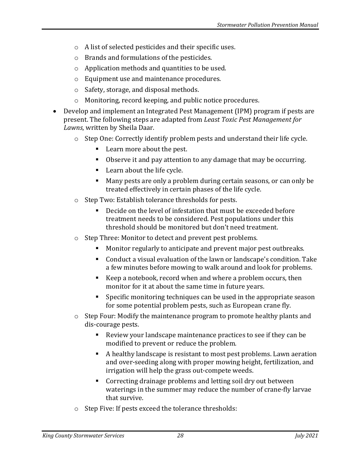- o A list of selected pesticides and their specific uses.
- o Brands and formulations of the pesticides.
- o Application methods and quantities to be used.
- o Equipment use and maintenance procedures.
- o Safety, storage, and disposal methods.
- o Monitoring, record keeping, and public notice procedures.
- Develop and implement an Integrated Pest Management (IPM) program if pests are present. The following steps are adapted from *Least Toxic Pest Management for Lawns*, written by Sheila Daar.
	- $\circ$  Step One: Correctly identify problem pests and understand their life cycle.
		- Learn more about the pest.
		- Observe it and pay attention to any damage that may be occurring.
		- Learn about the life cycle.
		- Many pests are only a problem during certain seasons, or can only be treated effectively in certain phases of the life cycle.
	- o Step Two: Establish tolerance thresholds for pests.
		- Decide on the level of infestation that must be exceeded before treatment needs to be considered. Pest populations under this threshold should be monitored but don't need treatment.
	- o Step Three: Monitor to detect and prevent pest problems.
		- Monitor regularly to anticipate and prevent major pest outbreaks.
		- Conduct a visual evaluation of the lawn or landscape's condition. Take a few minutes before mowing to walk around and look for problems.
		- Keep a notebook, record when and where a problem occurs, then monitor for it at about the same time in future years.
		- Specific monitoring techniques can be used in the appropriate season for some potential problem pests, such as European crane fly.
	- $\circ$  Step Four: Modify the maintenance program to promote healthy plants and dis-courage pests.
		- Review your landscape maintenance practices to see if they can be modified to prevent or reduce the problem.
		- A healthy landscape is resistant to most pest problems. Lawn aeration and over-seeding along with proper mowing height, fertilization, and irrigation will help the grass out-compete weeds.
		- Correcting drainage problems and letting soil dry out between waterings in the summer may reduce the number of crane-fly larvae that survive.
	- o Step Five: If pests exceed the tolerance thresholds: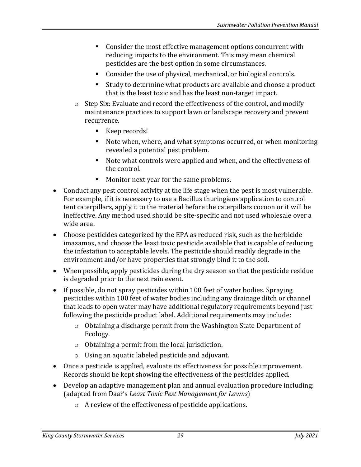- Consider the most effective management options concurrent with reducing impacts to the environment. This may mean chemical pesticides are the best option in some circumstances.
- Consider the use of physical, mechanical, or biological controls.
- Study to determine what products are available and choose a product that is the least toxic and has the least non-target impact.
- o Step Six: Evaluate and record the effectiveness of the control, and modify maintenance practices to support lawn or landscape recovery and prevent recurrence.
	- Keep records!
	- Note when, where, and what symptoms occurred, or when monitoring revealed a potential pest problem.
	- Note what controls were applied and when, and the effectiveness of the control.
	- Monitor next year for the same problems.
- Conduct any pest control activity at the life stage when the pest is most vulnerable. For example, if it is necessary to use a Bacillus thuringiens application to control tent caterpillars, apply it to the material before the caterpillars cocoon or it will be ineffective. Any method used should be site-specific and not used wholesale over a wide area.
- Choose pesticides categorized by the EPA as reduced risk, such as the herbicide imazamox, and choose the least toxic pesticide available that is capable of reducing the infestation to acceptable levels. The pesticide should readily degrade in the environment and/or have properties that strongly bind it to the soil.
- When possible, apply pesticides during the dry season so that the pesticide residue is degraded prior to the next rain event.
- If possible, do not spray pesticides within 100 feet of water bodies. Spraying pesticides within 100 feet of water bodies including any drainage ditch or channel that leads to open water may have additional regulatory requirements beyond just following the pesticide product label. Additional requirements may include:
	- o Obtaining a discharge permit from the Washington State Department of Ecology.
	- o Obtaining a permit from the local jurisdiction.
	- o Using an aquatic labeled pesticide and adjuvant.
- Once a pesticide is applied, evaluate its effectiveness for possible improvement. Records should be kept showing the effectiveness of the pesticides applied.
- Develop an adaptive management plan and annual evaluation procedure including: (adapted from Daar's *Least Toxic Pest Management for Lawns*)
	- o A review of the effectiveness of pesticide applications.